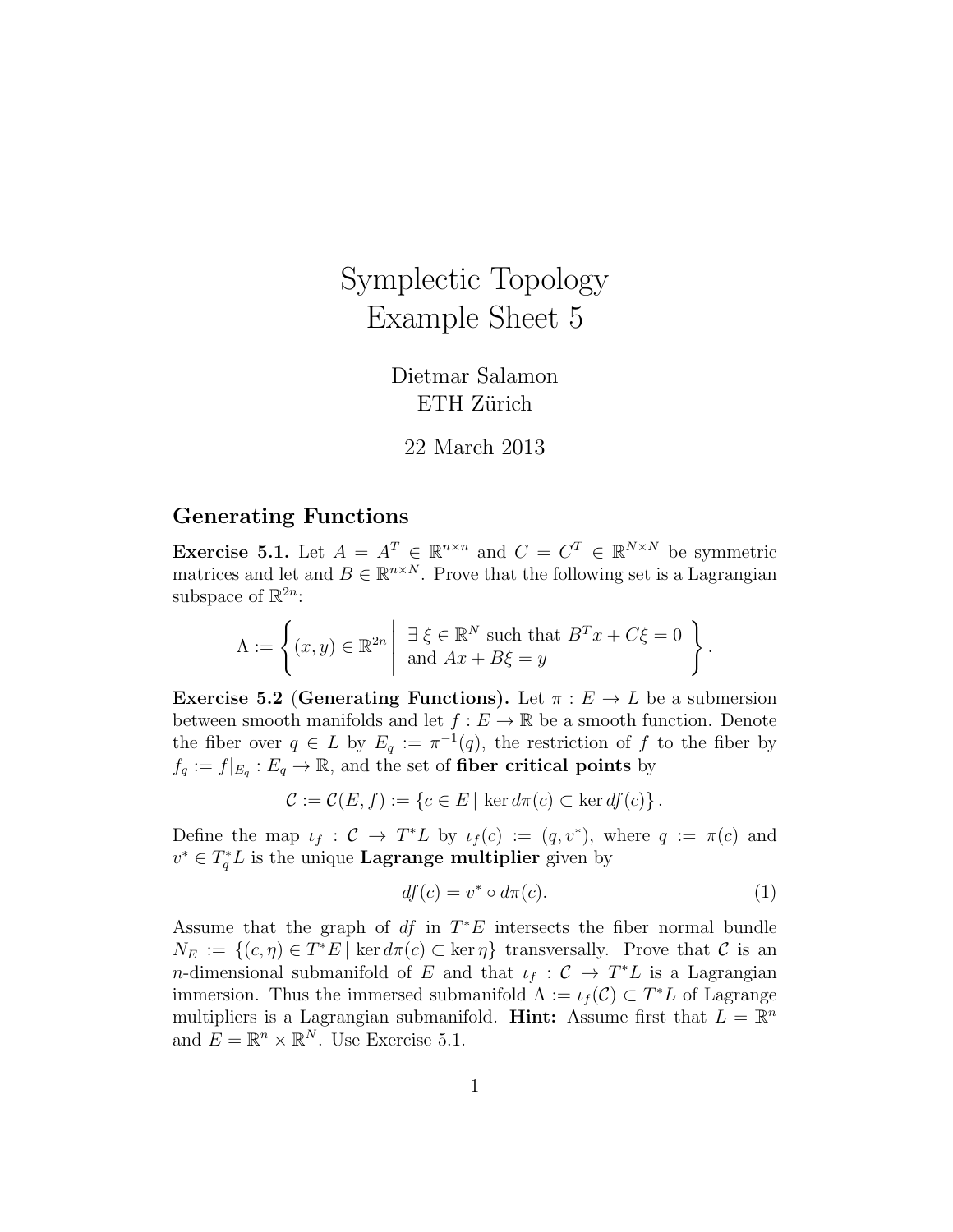# Symplectic Topology Example Sheet 5

Dietmar Salamon ETH Zürich

22 March 2013

## Generating Functions

**Exercise 5.1.** Let  $A = A^T \in \mathbb{R}^{n \times n}$  and  $C = C^T \in \mathbb{R}^{N \times N}$  be symmetric matrices and let and  $B \in \mathbb{R}^{n \times N}$ . Prove that the following set is a Lagrangian subspace of  $\mathbb{R}^{2n}$ :

$$
\Lambda := \left\{ (x, y) \in \mathbb{R}^{2n} \middle| \begin{array}{c} \exists \xi \in \mathbb{R}^N \text{ such that } B^T x + C\xi = 0 \\ \text{and } Ax + B\xi = y \end{array} \right\}.
$$

**Exercise 5.2 (Generating Functions).** Let  $\pi : E \to L$  be a submersion between smooth manifolds and let  $f : E \to \mathbb{R}$  be a smooth function. Denote the fiber over  $q \in L$  by  $E_q := \pi^{-1}(q)$ , the restriction of f to the fiber by  $f_q := f|_{E_q}: E_q \to \mathbb{R}$ , and the set of fiber critical points by

$$
\mathcal{C} := \mathcal{C}(E, f) := \{c \in E \mid \ker d\pi(c) \subset \ker df(c)\}.
$$

Define the map  $\iota_f : C \to T^*L$  by  $\iota_f(c) := (q, v^*)$ , where  $q := \pi(c)$  and  $v^* \in T_q^*L$  is the unique **Lagrange multiplier** given by

$$
df(c) = v^* \circ d\pi(c). \tag{1}
$$

Assume that the graph of  $df$  in  $T^*E$  intersects the fiber normal bundle  $N_E := \{(c, \eta) \in T^*E \mid \ker d\pi(c) \subset \ker \eta\}$  transversally. Prove that C is an *n*-dimensional submanifold of E and that  $\iota_f : C \to T^*L$  is a Lagrangian immersion. Thus the immersed submanifold  $\Lambda := \iota_f(\mathcal{C}) \subset T^*L$  of Lagrange multipliers is a Lagrangian submanifold. Hint: Assume first that  $L = \mathbb{R}^n$ and  $E = \mathbb{R}^n \times \mathbb{R}^N$ . Use Exercise 5.1.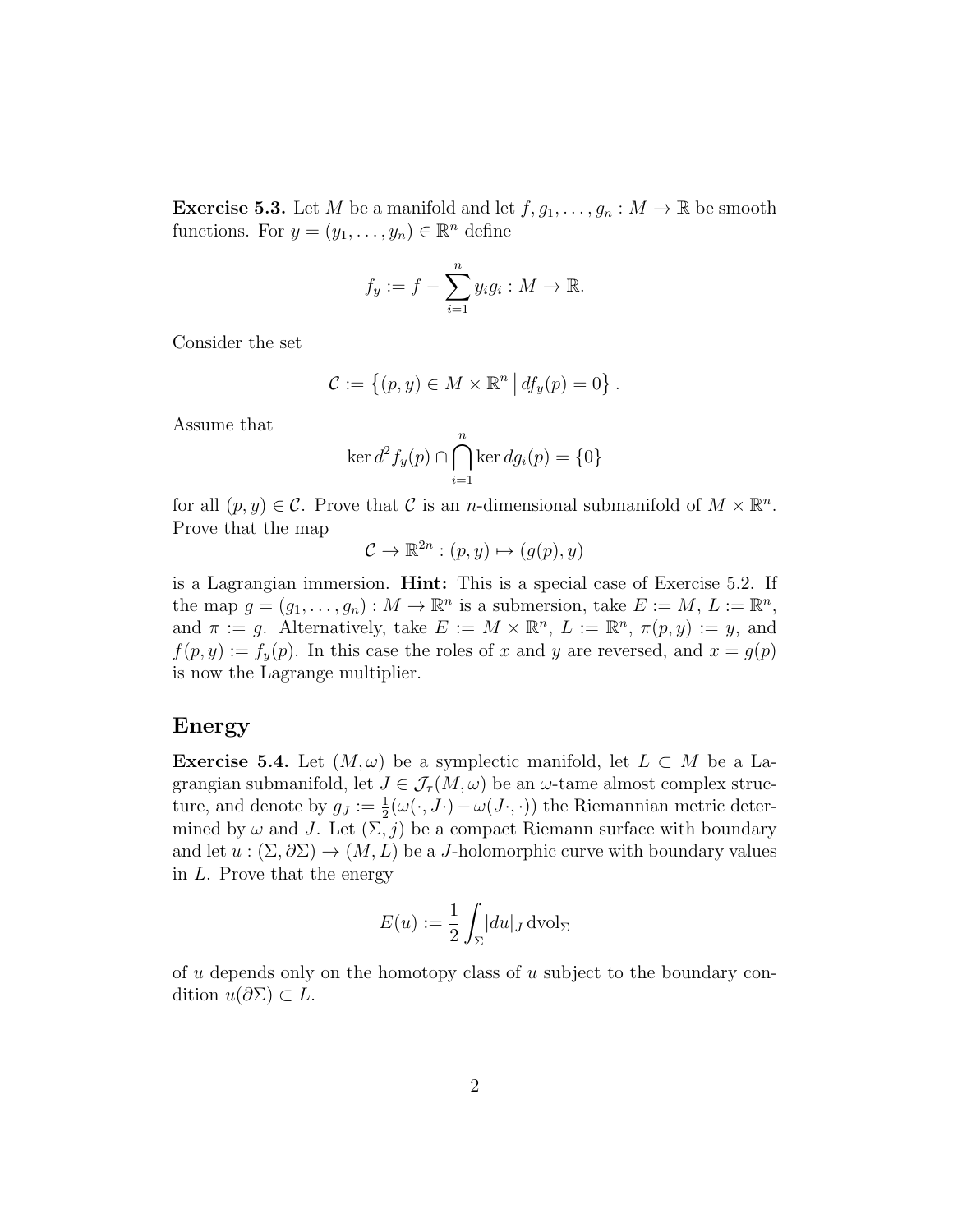**Exercise 5.3.** Let M be a manifold and let  $f, g_1, \ldots, g_n : M \to \mathbb{R}$  be smooth functions. For  $y = (y_1, \ldots, y_n) \in \mathbb{R}^n$  define

$$
f_y := f - \sum_{i=1}^n y_i g_i : M \to \mathbb{R}.
$$

Consider the set

$$
\mathcal{C} := \left\{ (p, y) \in M \times \mathbb{R}^n \, \middle| \, df_y(p) = 0 \right\}.
$$

Assume that

$$
\ker d^2 f_y(p) \cap \bigcap_{i=1}^n \ker dg_i(p) = \{0\}
$$

for all  $(p, y) \in \mathcal{C}$ . Prove that  $\mathcal{C}$  is an *n*-dimensional submanifold of  $M \times \mathbb{R}^n$ . Prove that the map

$$
\mathcal{C} \to \mathbb{R}^{2n} : (p, y) \mapsto (g(p), y)
$$

is a Lagrangian immersion. Hint: This is a special case of Exercise 5.2. If the map  $g = (g_1, \ldots, g_n) : M \to \mathbb{R}^n$  is a submersion, take  $E := M, L := \mathbb{R}^n$ , and  $\pi := g$ . Alternatively, take  $E := M \times \mathbb{R}^n$ ,  $L := \mathbb{R}^n$ ,  $\pi(p, y) := y$ , and  $f(p, y) := f_y(p)$ . In this case the roles of x and y are reversed, and  $x = g(p)$ is now the Lagrange multiplier.

#### Energy

**Exercise 5.4.** Let  $(M, \omega)$  be a symplectic manifold, let  $L \subset M$  be a Lagrangian submanifold, let  $J \in \mathcal{J}_{\tau}(M,\omega)$  be an  $\omega$ -tame almost complex structure, and denote by  $g_J := \frac{1}{2}(\omega(\cdot, J \cdot) - \omega(J \cdot, \cdot))$  the Riemannian metric determined by  $\omega$  and J. Let  $(\Sigma, j)$  be a compact Riemann surface with boundary and let  $u : (\Sigma, \partial \Sigma) \to (M, L)$  be a J-holomorphic curve with boundary values in L. Prove that the energy

$$
E(u) := \frac{1}{2} \int_{\Sigma} |du|_J \,\mathrm{dvol}_{\Sigma}
$$

of  $u$  depends only on the homotopy class of  $u$  subject to the boundary condition  $u(\partial \Sigma) \subset L$ .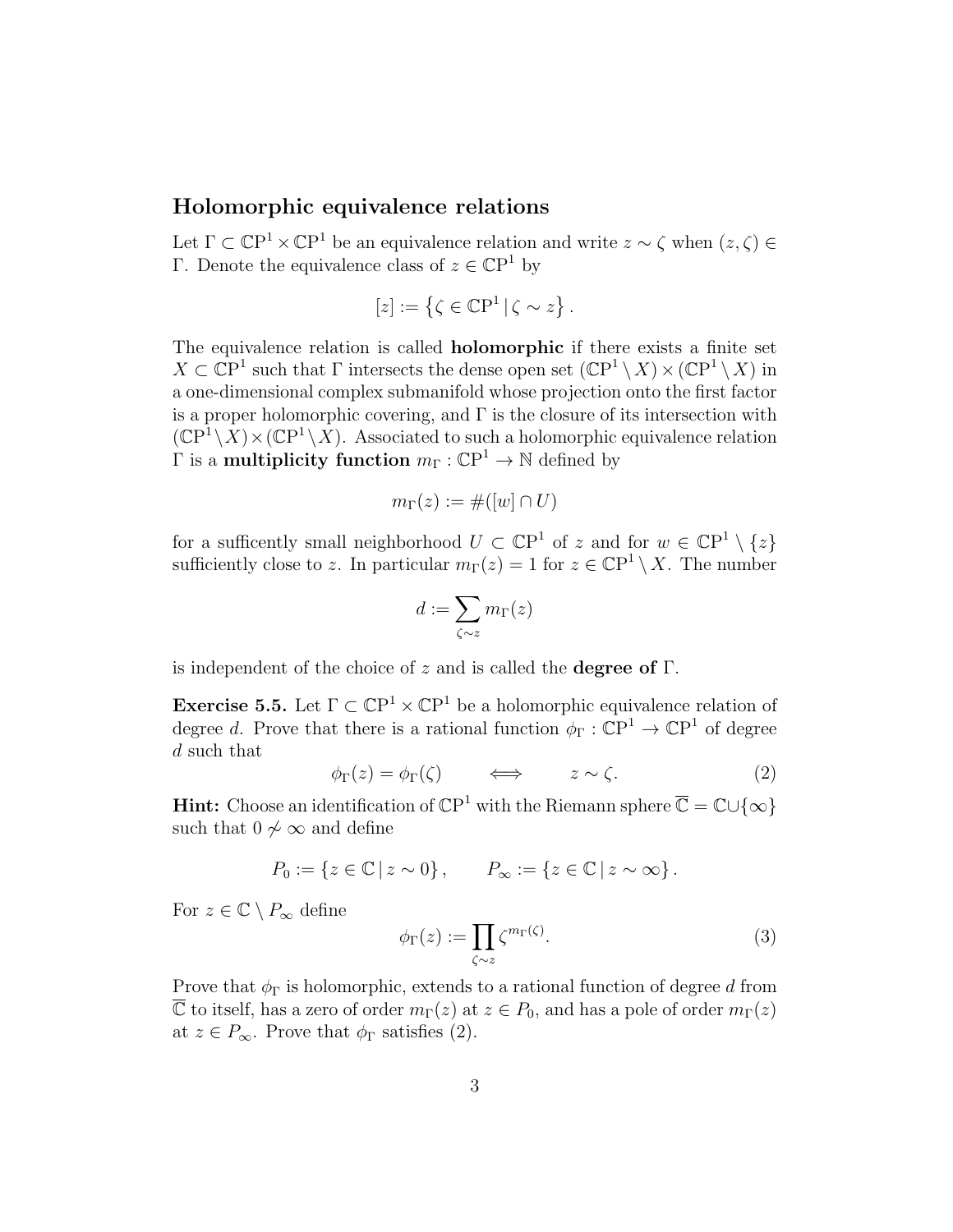## Holomorphic equivalence relations

Let  $\Gamma \subset \mathbb{C}P^1 \times \mathbb{C}P^1$  be an equivalence relation and write  $z \sim \zeta$  when  $(z, \zeta) \in$ Γ. Denote the equivalence class of  $z \in \mathbb{C}P^1$  by

$$
[z] := \left\{ \zeta \in \mathbb{C}P^1 \, | \, \zeta \sim z \right\}.
$$

The equivalence relation is called holomorphic if there exists a finite set  $X \subset \mathbb{C}P^1$  such that  $\Gamma$  intersects the dense open set  $(\mathbb{C}P^1 \setminus X) \times (\mathbb{C}P^1 \setminus X)$  in a one-dimensional complex submanifold whose projection onto the first factor is a proper holomorphic covering, and  $\Gamma$  is the closure of its intersection with  $(\mathbb{C}P^1 \setminus X) \times (\mathbb{C}P^1 \setminus X)$ . Associated to such a holomorphic equivalence relation  $\Gamma$  is a **multiplicity function**  $m_{\Gamma} : \mathbb{C}\mathrm{P}^1 \to \mathbb{N}$  defined by

$$
m_{\Gamma}(z) := \#([w] \cap U)
$$

for a sufficently small neighborhood  $U \subset \mathbb{C}P^1$  of z and for  $w \in \mathbb{C}P^1 \setminus \{z\}$ sufficiently close to z. In particular  $m_{\Gamma}(z) = 1$  for  $z \in \mathbb{C}P^1 \setminus X$ . The number

$$
d:=\sum_{\zeta\sim z}m_\Gamma(z)
$$

is independent of the choice of z and is called the **degree of**  $\Gamma$ .

**Exercise 5.5.** Let  $\Gamma \subset \mathbb{C}P^1 \times \mathbb{C}P^1$  be a holomorphic equivalence relation of degree d. Prove that there is a rational function  $\phi_{\Gamma}: \mathbb{C}\mathrm{P}^1 \to \mathbb{C}\mathrm{P}^1$  of degree d such that

$$
\phi_{\Gamma}(z) = \phi_{\Gamma}(\zeta) \qquad \Longleftrightarrow \qquad z \sim \zeta. \tag{2}
$$

**Hint:** Choose an identification of  $\mathbb{C}P^1$  with the Riemann sphere  $\overline{\mathbb{C}} = \mathbb{C} \cup \{\infty\}$ such that  $0 \nless \infty$  and define

$$
P_0 := \{ z \in \mathbb{C} \mid z \sim 0 \}, \qquad P_{\infty} := \{ z \in \mathbb{C} \mid z \sim \infty \}.
$$

For  $z \in \mathbb{C} \setminus P_{\infty}$  define

$$
\phi_{\Gamma}(z) := \prod_{\zeta \sim z} \zeta^{m_{\Gamma}(\zeta)}.
$$
\n(3)

Prove that  $\phi_{\Gamma}$  is holomorphic, extends to a rational function of degree d from  $\overline{\mathbb{C}}$  to itself, has a zero of order  $m_{\Gamma}(z)$  at  $z \in P_0$ , and has a pole of order  $m_{\Gamma}(z)$ at  $z \in P_{\infty}$ . Prove that  $\phi_{\Gamma}$  satisfies (2).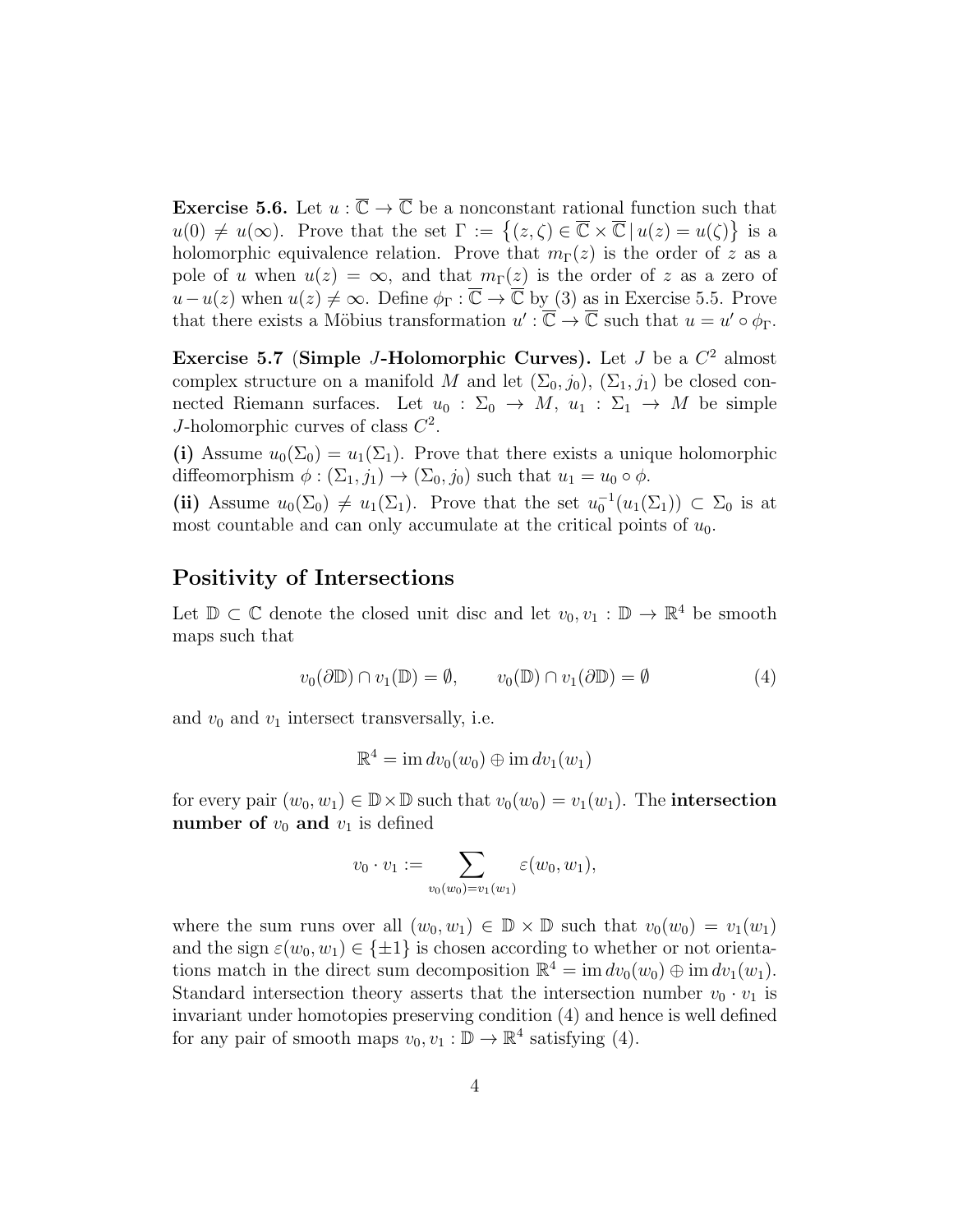**Exercise 5.6.** Let  $u : \overline{\mathbb{C}} \to \overline{\mathbb{C}}$  be a nonconstant rational function such that  $u(0) \neq u(\infty)$ . Prove that the set  $\Gamma := \{(z,\zeta) \in \overline{\mathbb{C}} \times \overline{\mathbb{C}} \mid u(z) = u(\zeta)\}\$ is a holomorphic equivalence relation. Prove that  $m_{\Gamma}(z)$  is the order of z as a pole of u when  $u(z) = \infty$ , and that  $m_{\Gamma}(z)$  is the order of z as a zero of  $u-u(z)$  when  $u(z) \neq \infty$ . Define  $\phi_{\Gamma} : \overline{\mathbb{C}} \to \overline{\mathbb{C}}$  by (3) as in Exercise 5.5. Prove that there exists a Möbius transformation  $u': \overline{\mathbb{C}} \to \overline{\mathbb{C}}$  such that  $u = u' \circ \phi_{\Gamma}$ .

Exercise 5.7 (Simple J-Holomorphic Curves). Let J be a  $C^2$  almost complex structure on a manifold M and let  $(\Sigma_0, j_0)$ ,  $(\Sigma_1, j_1)$  be closed connected Riemann surfaces. Let  $u_0 : \Sigma_0 \to M$ ,  $u_1 : \Sigma_1 \to M$  be simple J-holomorphic curves of class  $C^2$ .

(i) Assume  $u_0(\Sigma_0) = u_1(\Sigma_1)$ . Prove that there exists a unique holomorphic diffeomorphism  $\phi : (\Sigma_1, j_1) \to (\Sigma_0, j_0)$  such that  $u_1 = u_0 \circ \phi$ .

(ii) Assume  $u_0(\Sigma_0) \neq u_1(\Sigma_1)$ . Prove that the set  $u_0^{-1}(u_1(\Sigma_1)) \subset \Sigma_0$  is at most countable and can only accumulate at the critical points of  $u_0$ .

## Positivity of Intersections

Let  $\mathbb{D} \subset \mathbb{C}$  denote the closed unit disc and let  $v_0, v_1 : \mathbb{D} \to \mathbb{R}^4$  be smooth maps such that

$$
v_0(\partial \mathbb{D}) \cap v_1(\mathbb{D}) = \emptyset, \qquad v_0(\mathbb{D}) \cap v_1(\partial \mathbb{D}) = \emptyset \tag{4}
$$

and  $v_0$  and  $v_1$  intersect transversally, i.e.

$$
\mathbb{R}^4 = \operatorname{im} dv_0(w_0) \oplus \operatorname{im} dv_1(w_1)
$$

for every pair  $(w_0, w_1) \in \mathbb{D} \times \mathbb{D}$  such that  $v_0(w_0) = v_1(w_1)$ . The intersection number of  $v_0$  and  $v_1$  is defined

$$
v_0 \cdot v_1 := \sum_{v_0(w_0) = v_1(w_1)} \varepsilon(w_0, w_1),
$$

where the sum runs over all  $(w_0, w_1) \in \mathbb{D} \times \mathbb{D}$  such that  $v_0(w_0) = v_1(w_1)$ and the sign  $\varepsilon(w_0, w_1) \in {\pm 1}$  is chosen according to whether or not orientations match in the direct sum decomposition  $\mathbb{R}^4 = \text{im } dv_0(w_0) \oplus \text{im } dv_1(w_1)$ . Standard intersection theory asserts that the intersection number  $v_0 \cdot v_1$  is invariant under homotopies preserving condition (4) and hence is well defined for any pair of smooth maps  $v_0, v_1 : \mathbb{D} \to \mathbb{R}^4$  satisfying (4).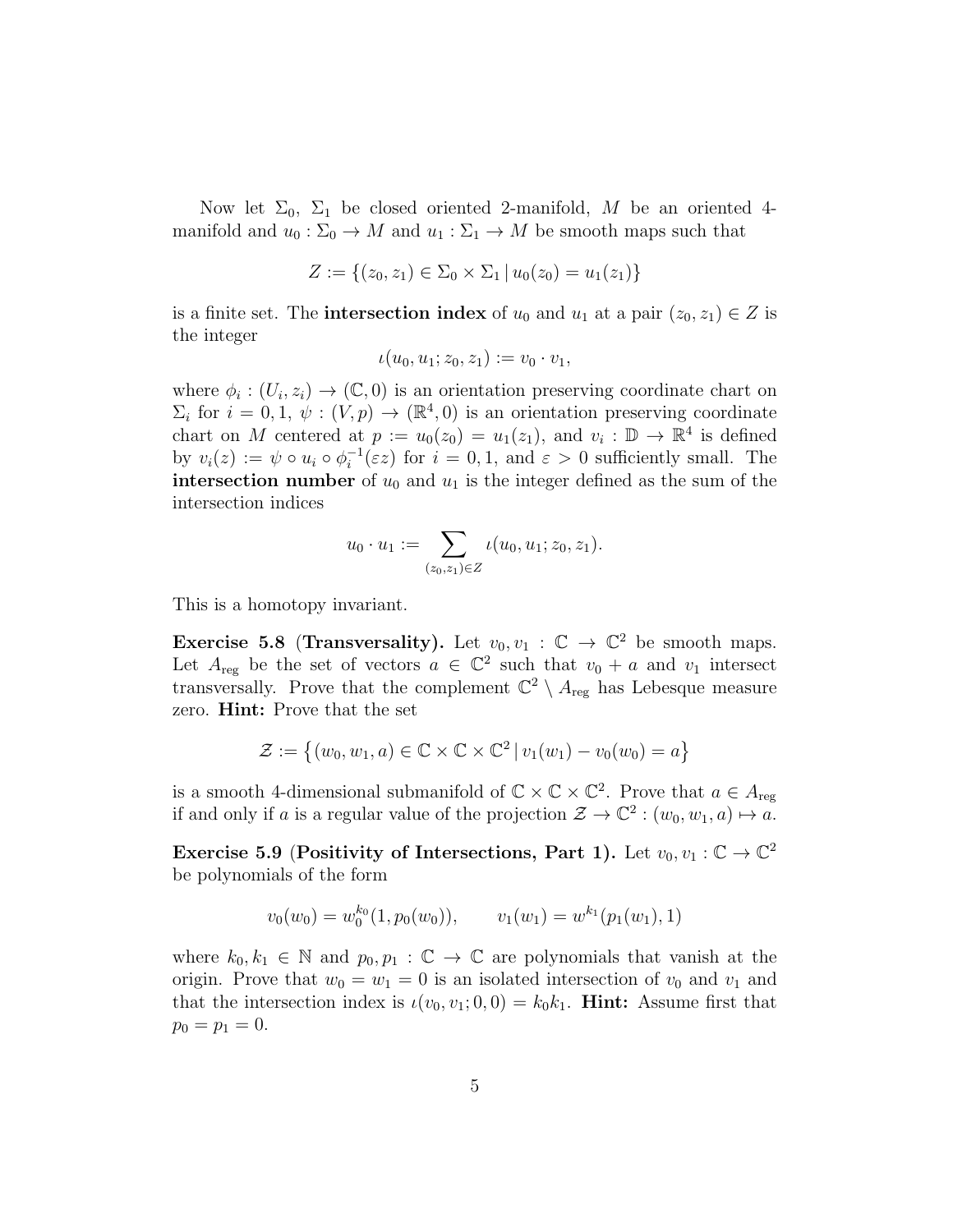Now let  $\Sigma_0$ ,  $\Sigma_1$  be closed oriented 2-manifold, M be an oriented 4manifold and  $u_0 : \Sigma_0 \to M$  and  $u_1 : \Sigma_1 \to M$  be smooth maps such that

$$
Z := \{(z_0, z_1) \in \Sigma_0 \times \Sigma_1 \, | \, u_0(z_0) = u_1(z_1) \}
$$

is a finite set. The **intersection index** of  $u_0$  and  $u_1$  at a pair  $(z_0, z_1) \in Z$  is the integer

$$
\iota(u_0, u_1; z_0, z_1) := v_0 \cdot v_1,
$$

where  $\phi_i: (U_i, z_i) \to (\mathbb{C}, 0)$  is an orientation preserving coordinate chart on  $\Sigma_i$  for  $i = 0, 1, \psi : (V, p) \to (\mathbb{R}^4, 0)$  is an orientation preserving coordinate chart on M centered at  $p := u_0(z_0) = u_1(z_1)$ , and  $v_i : \mathbb{D} \to \mathbb{R}^4$  is defined by  $v_i(z) := \psi \circ u_i \circ \phi_i^{-1}$  $i_i^{-1}(\varepsilon z)$  for  $i = 0, 1$ , and  $\varepsilon > 0$  sufficiently small. The intersection number of  $u_0$  and  $u_1$  is the integer defined as the sum of the intersection indices

$$
u_0\cdot u_1:=\sum_{(z_0,z_1)\in Z}\iota(u_0,u_1;z_0,z_1).
$$

This is a homotopy invariant.

Exercise 5.8 (Transversality). Let  $v_0, v_1 : \mathbb{C} \to \mathbb{C}^2$  be smooth maps. Let  $A_{reg}$  be the set of vectors  $a \in \mathbb{C}^2$  such that  $v_0 + a$  and  $v_1$  intersect transversally. Prove that the complement  $\mathbb{C}^2 \setminus A_{reg}$  has Lebesque measure zero. Hint: Prove that the set

$$
\mathcal{Z} := \left\{ (w_0, w_1, a) \in \mathbb{C} \times \mathbb{C} \times \mathbb{C}^2 \, | \, v_1(w_1) - v_0(w_0) = a \right\}
$$

is a smooth 4-dimensional submanifold of  $\mathbb{C} \times \mathbb{C} \times \mathbb{C}^2$ . Prove that  $a \in A_{reg}$ if and only if a is a regular value of the projection  $\mathcal{Z} \to \mathbb{C}^2$  :  $(w_0, w_1, a) \mapsto a$ .

Exercise 5.9 (Positivity of Intersections, Part 1). Let  $v_0, v_1 : \mathbb{C} \to \mathbb{C}^2$ be polynomials of the form

$$
v_0(w_0) = w_0^{k_0}(1, p_0(w_0)), \qquad v_1(w_1) = w^{k_1}(p_1(w_1), 1)
$$

where  $k_0, k_1 \in \mathbb{N}$  and  $p_0, p_1 : \mathbb{C} \to \mathbb{C}$  are polynomials that vanish at the origin. Prove that  $w_0 = w_1 = 0$  is an isolated intersection of  $v_0$  and  $v_1$  and that the intersection index is  $\iota(v_0, v_1; 0, 0) = k_0 k_1$ . **Hint:** Assume first that  $p_0 = p_1 = 0.$